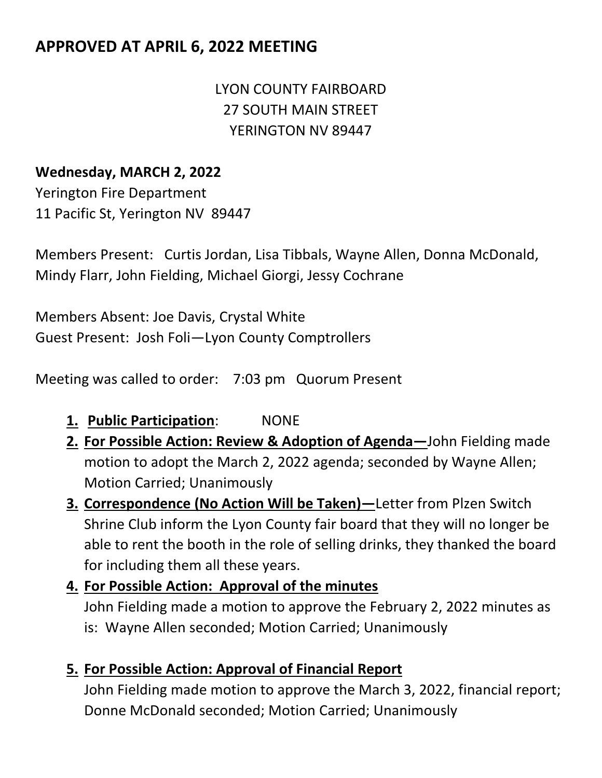# **APPROVED AT APRIL 6, 2022 MEETING**

# LYON COUNTY FAIRBOARD 27 SOUTH MAIN STREET YERINGTON NV 89447

#### **Wednesday, MARCH 2, 2022**

Yerington Fire Department 11 Pacific St, Yerington NV 89447

Members Present: Curtis Jordan, Lisa Tibbals, Wayne Allen, Donna McDonald, Mindy Flarr, John Fielding, Michael Giorgi, Jessy Cochrane

Members Absent: Joe Davis, Crystal White Guest Present: Josh Foli—Lyon County Comptrollers

Meeting was called to order: 7:03 pm Quorum Present

- **1. Public Participation**: NONE
- **2. For Possible Action: Review & Adoption of Agenda—**John Fielding made motion to adopt the March 2, 2022 agenda; seconded by Wayne Allen; Motion Carried; Unanimously
- **3. Correspondence (No Action Will be Taken)—**Letter from Plzen Switch Shrine Club inform the Lyon County fair board that they will no longer be able to rent the booth in the role of selling drinks, they thanked the board for including them all these years.
- **4. For Possible Action: Approval of the minutes** John Fielding made a motion to approve the February 2, 2022 minutes as is: Wayne Allen seconded; Motion Carried; Unanimously
- **5. For Possible Action: Approval of Financial Report**

John Fielding made motion to approve the March 3, 2022, financial report; Donne McDonald seconded; Motion Carried; Unanimously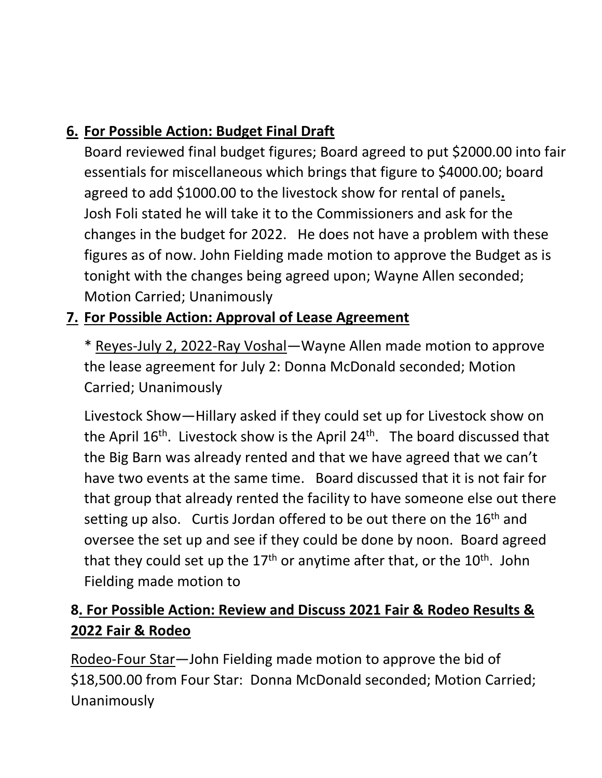# **6. For Possible Action: Budget Final Draft**

Board reviewed final budget figures; Board agreed to put \$2000.00 into fair essentials for miscellaneous which brings that figure to \$4000.00; board agreed to add \$1000.00 to the livestock show for rental of panels**.** Josh Foli stated he will take it to the Commissioners and ask for the changes in the budget for 2022. He does not have a problem with these figures as of now. John Fielding made motion to approve the Budget as is tonight with the changes being agreed upon; Wayne Allen seconded; Motion Carried; Unanimously

### **7. For Possible Action: Approval of Lease Agreement**

\* Reyes-July 2, 2022-Ray Voshal—Wayne Allen made motion to approve the lease agreement for July 2: Donna McDonald seconded; Motion Carried; Unanimously

Livestock Show—Hillary asked if they could set up for Livestock show on the April 16<sup>th</sup>. Livestock show is the April 24<sup>th</sup>. The board discussed that the Big Barn was already rented and that we have agreed that we can't have two events at the same time. Board discussed that it is not fair for that group that already rented the facility to have someone else out there setting up also. Curtis Jordan offered to be out there on the 16<sup>th</sup> and oversee the set up and see if they could be done by noon. Board agreed that they could set up the  $17<sup>th</sup>$  or anytime after that, or the  $10<sup>th</sup>$ . John Fielding made motion to

# **8. For Possible Action: Review and Discuss 2021 Fair & Rodeo Results & 2022 Fair & Rodeo**

Rodeo-Four Star—John Fielding made motion to approve the bid of \$18,500.00 from Four Star: Donna McDonald seconded; Motion Carried; Unanimously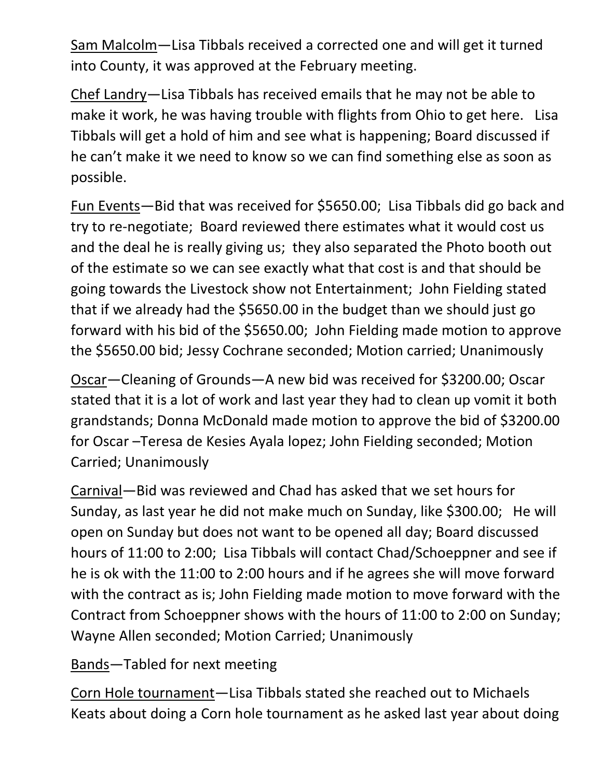Sam Malcolm—Lisa Tibbals received a corrected one and will get it turned into County, it was approved at the February meeting.

Chef Landry—Lisa Tibbals has received emails that he may not be able to make it work, he was having trouble with flights from Ohio to get here. Lisa Tibbals will get a hold of him and see what is happening; Board discussed if he can't make it we need to know so we can find something else as soon as possible.

Fun Events—Bid that was received for \$5650.00; Lisa Tibbals did go back and try to re-negotiate; Board reviewed there estimates what it would cost us and the deal he is really giving us; they also separated the Photo booth out of the estimate so we can see exactly what that cost is and that should be going towards the Livestock show not Entertainment; John Fielding stated that if we already had the \$5650.00 in the budget than we should just go forward with his bid of the \$5650.00; John Fielding made motion to approve the \$5650.00 bid; Jessy Cochrane seconded; Motion carried; Unanimously

Oscar—Cleaning of Grounds—A new bid was received for \$3200.00; Oscar stated that it is a lot of work and last year they had to clean up vomit it both grandstands; Donna McDonald made motion to approve the bid of \$3200.00 for Oscar –Teresa de Kesies Ayala lopez; John Fielding seconded; Motion Carried; Unanimously

Carnival—Bid was reviewed and Chad has asked that we set hours for Sunday, as last year he did not make much on Sunday, like \$300.00; He will open on Sunday but does not want to be opened all day; Board discussed hours of 11:00 to 2:00; Lisa Tibbals will contact Chad/Schoeppner and see if he is ok with the 11:00 to 2:00 hours and if he agrees she will move forward with the contract as is; John Fielding made motion to move forward with the Contract from Schoeppner shows with the hours of 11:00 to 2:00 on Sunday; Wayne Allen seconded; Motion Carried; Unanimously

Bands—Tabled for next meeting

Corn Hole tournament—Lisa Tibbals stated she reached out to Michaels Keats about doing a Corn hole tournament as he asked last year about doing